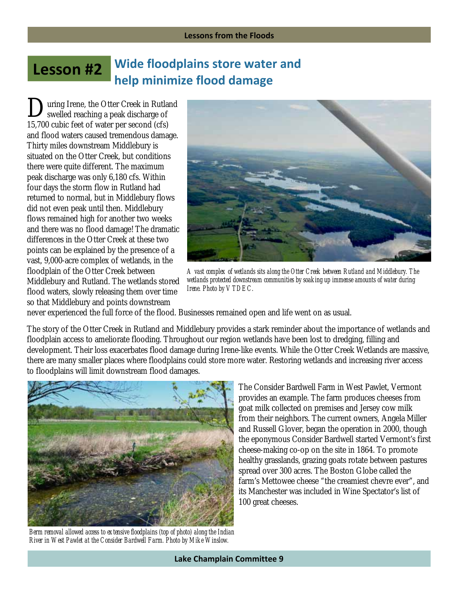## **Lesson #2 Wide floodplains store water and help minimize flood damage**

uring Irene, the Otter Creek in Rutland **D** uring Irene, the Otter Creek in Rutlar<br>swelled reaching a peak discharge of 15,700 cubic feet of water per second (cfs) and flood waters caused tremendous damage. Thirty miles downstream Middlebury is situated on the Otter Creek, but conditions there were quite different. The maximum peak discharge was only 6,180 cfs. Within four days the storm flow in Rutland had returned to normal, but in Middlebury flows did not even peak until then. Middlebury flows remained high for another two weeks and there was no flood damage! The dramatic differences in the Otter Creek at these two points can be explained by the presence of a vast, 9,000-acre complex of wetlands, in the floodplain of the Otter Creek between Middlebury and Rutland. The wetlands stored flood waters, slowly releasing them over time so that Middlebury and points downstream



*A vast complex of wetlands sits along the Otter Creek between Rutland and Middlebury. The wetlands protected downstream communities by soaking up immense amounts of water during Irene. Photo by VTDEC.*

never experienced the full force of the flood. Businesses remained open and life went on as usual.

The story of the Otter Creek in Rutland and Middlebury provides a stark reminder about the importance of wetlands and floodplain access to ameliorate flooding. Throughout our region wetlands have been lost to dredging, filling and development. Their loss exacerbates flood damage during Irene-like events. While the Otter Creek Wetlands are massive, there are many smaller places where floodplains could store more water. Restoring wetlands and increasing river access to floodplains will limit downstream flood damages.



*Berm removal allowed access to extensive floodplains (top of photo) along the Indian River in West Pawlet at the Consider Bardwell Farm. Photo by Mike Winslow.* 

The Consider Bardwell Farm in West Pawlet, Vermont provides an example. The farm produces cheeses from goat milk collected on premises and Jersey cow milk from their neighbors. The current owners, Angela Miller and Russell Glover, began the operation in 2000, though the eponymous Consider Bardwell started Vermont's first cheese-making co-op on the site in 1864. To promote healthy grasslands, grazing goats rotate between pastures spread over 300 acres. The Boston Globe called the farm's Mettowee cheese "the creamiest chevre ever", and its Manchester was included in Wine Spectator's list of 100 great cheeses.